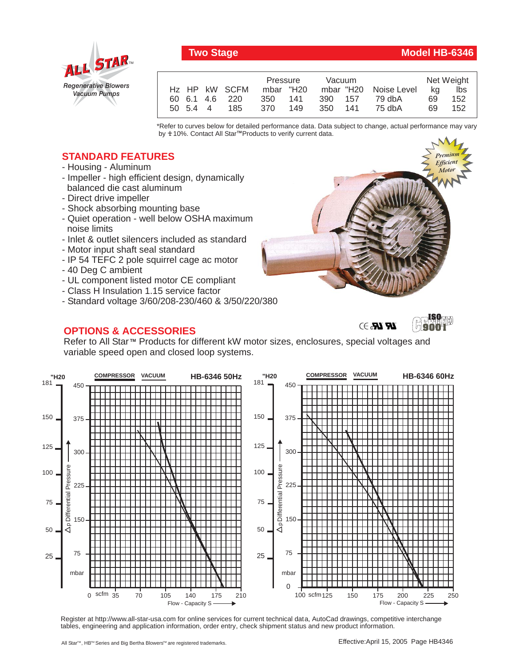

## Two Stage Model HB-6346

|          |                |            | Pressure  |         | Vacuum |                       | Net Weight |     |
|----------|----------------|------------|-----------|---------|--------|-----------------------|------------|-----|
|          | Hz HP kW SCFM  |            | mbar "H20 |         |        | mbar "H20 Noise Level | ka         | lbs |
|          | 60 6.1 4.6 220 | 350 141    |           | 390 157 |        | 79 dbA                | 69         | 152 |
| 50 5.4 4 |                | 370<br>185 | - 149     | 350 141 |        | 75 dbA                | 69         | 152 |

\*Refer to curves below for detailed performance data. Data subject to change, actual performance may vary by **+** 10%. Contact All Star™Products to verify current data.

## **STANDARD FEATURES**

- Housing Aluminum
- Impeller high efficient design, dynamically balanced die cast aluminum
- Direct drive impeller
- Shock absorbing mounting base
- Quiet operation well below OSHA maximum noise limits
- Inlet & outlet silencers included as standard
- Motor input shaft seal standard
- IP 54 TEFC 2 pole squirrel cage ac motor
- 40 Deg C ambient
- UL component listed motor CE compliant
- Class H Insulation 1.15 service factor
- Standard voltage 3/60/208-230/460 & 3/50/220/380

## **OPTIONS & ACCESSORIES**





**ISO 9001**

Refer to All Star<sup>™</sup> Products for different kW motor sizes, enclosures, special voltages and variable speed open and closed loop systems.



Register at http://www.all-star-usa.com for online services for current technical data, AutoCad drawings, competitive interchange tables, engineering and application information, order entry, check shipment status and new product information.